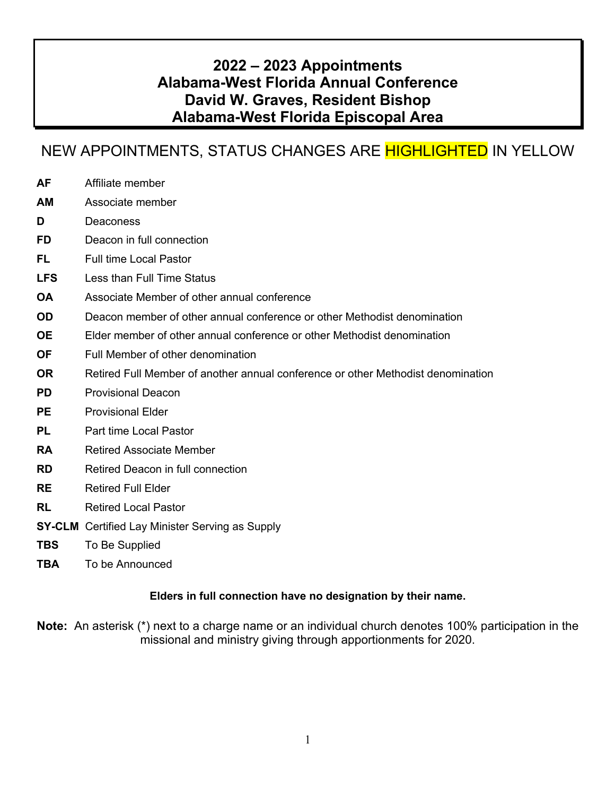## **2022 – 2023 Appointments Alabama-West Florida Annual Conference David W. Graves, Resident Bishop Alabama-West Florida Episcopal Area**

## NEW APPOINTMENTS, STATUS CHANGES ARE HIGHLIGHTED IN YELLOW

- **AF** Affiliate member
- **AM** Associate member
- **D** Deaconess
- **FD** Deacon in full connection
- **FL** Full time Local Pastor
- **LFS** Less than Full Time Status
- **OA** Associate Member of other annual conference
- **OD** Deacon member of other annual conference or other Methodist denomination
- **OE** Elder member of other annual conference or other Methodist denomination
- **OF** Full Member of other denomination
- **OR** Retired Full Member of another annual conference or other Methodist denomination
- **PD** Provisional Deacon
- **PE** Provisional Elder
- **PL** Part time Local Pastor
- **RA** Retired Associate Member
- **RD** Retired Deacon in full connection
- **RE** Retired Full Elder
- **RL** Retired Local Pastor
- **SY-CLM** Certified Lay Minister Serving as Supply
- **TBS** To Be Supplied
- **TBA** To be Announced

#### **Elders in full connection have no designation by their name.**

**Note:** An asterisk (\*) next to a charge name or an individual church denotes 100% participation in the missional and ministry giving through apportionments for 2020.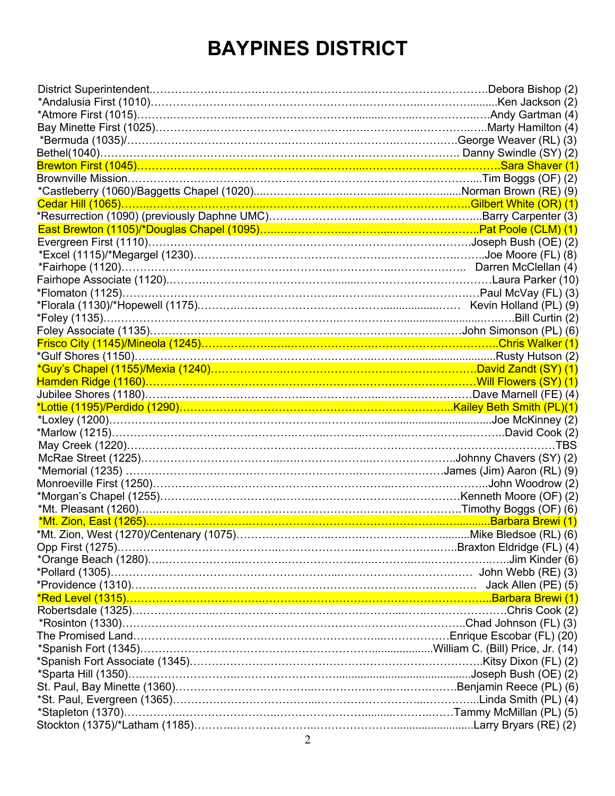# **BAYPINES DISTRICT**

| Brewton First (1045)……………………………………………………………………………………………Sara Shaver (1)                   |  |
|------------------------------------------------------------------------------------------|--|
|                                                                                          |  |
|                                                                                          |  |
|                                                                                          |  |
|                                                                                          |  |
|                                                                                          |  |
|                                                                                          |  |
|                                                                                          |  |
|                                                                                          |  |
|                                                                                          |  |
|                                                                                          |  |
|                                                                                          |  |
|                                                                                          |  |
|                                                                                          |  |
|                                                                                          |  |
|                                                                                          |  |
|                                                                                          |  |
|                                                                                          |  |
| Jubilee Shores (1180)……………………………………………………………………………Dave Marnell (FE) (4)                  |  |
| <u>*Lottie (1195)/Perdido (1290)………………………………………………………………………Kailey Beth Smith (PL)(1)</u> |  |
|                                                                                          |  |
|                                                                                          |  |
|                                                                                          |  |
|                                                                                          |  |
|                                                                                          |  |
|                                                                                          |  |
|                                                                                          |  |
|                                                                                          |  |
|                                                                                          |  |
| *Mt. Zion, East (1265)……………………………………………………………………………………………Barbara Brewi (1)               |  |
| *Mt. Zion, West (1270)/Centenary (1075)……………………………………………………………Mike Bledsoe (RL) (6)      |  |
|                                                                                          |  |
|                                                                                          |  |
|                                                                                          |  |
|                                                                                          |  |
|                                                                                          |  |
|                                                                                          |  |
|                                                                                          |  |
|                                                                                          |  |
|                                                                                          |  |
| *Spanish Fort Associate (1345)………………………………………………………………………Kitsy Dixon (FL) (2)            |  |
|                                                                                          |  |
|                                                                                          |  |
|                                                                                          |  |
|                                                                                          |  |
|                                                                                          |  |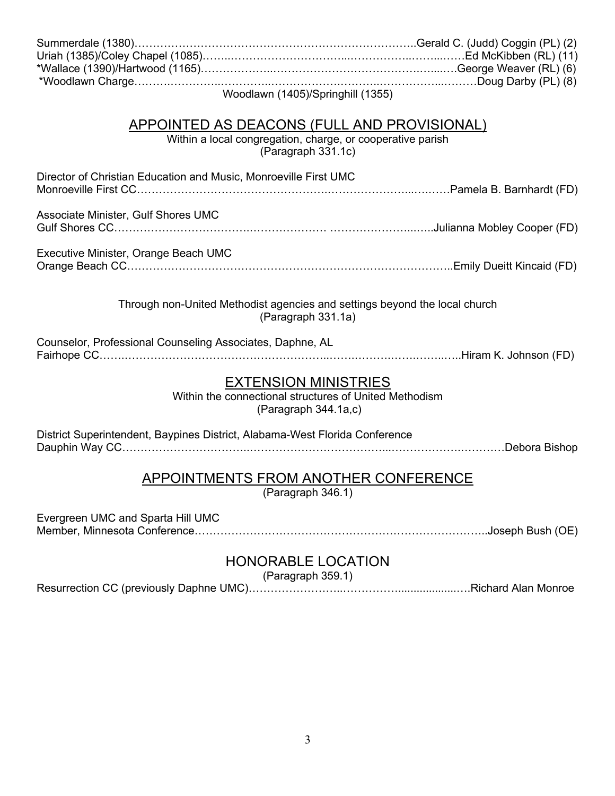| Woodlawn (1405)/Springhill (1355)                                                                                                      |  |  |
|----------------------------------------------------------------------------------------------------------------------------------------|--|--|
|                                                                                                                                        |  |  |
| <b>APPOINTED AS DEACONS (FULL AND PROVISIONAL)</b><br>Within a local congregation, charge, or cooperative parish<br>(Paragraph 331.1c) |  |  |
| Director of Christian Education and Music, Monroeville First UMC                                                                       |  |  |
| Associate Minister, Gulf Shores UMC                                                                                                    |  |  |
| Executive Minister, Orange Beach UMC                                                                                                   |  |  |
| Through non-United Methodist agencies and settings beyond the local church<br>(Paragraph 331.1a)                                       |  |  |
| Counselor, Professional Counseling Associates, Daphne, AL                                                                              |  |  |
| <b>EXTENSION MINISTRIES</b><br>Within the connectional structures of United Methodism<br>(Paragraph 344.1a,c)                          |  |  |
| District Superintendent, Baypines District, Alabama-West Florida Conference                                                            |  |  |
| <b>APPOINTMENTS FROM ANOTHER CONFERENCE</b><br>(Paragraph 346.1)                                                                       |  |  |
| Evergreen UMC and Sparta Hill UMC                                                                                                      |  |  |

## HONORABLE LOCATION

(Paragraph 359.1)

Resurrection CC (previously Daphne UMC)……………………..……………...................….Richard Alan Monroe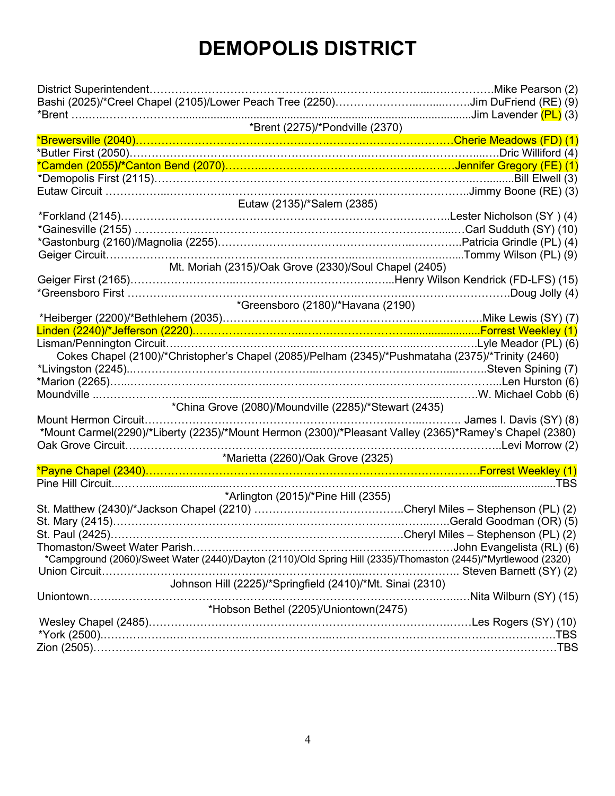# **DEMOPOLIS DISTRICT**

| District Superintendent                                                                                                                                            | Mike Pearson (2)      |
|--------------------------------------------------------------------------------------------------------------------------------------------------------------------|-----------------------|
|                                                                                                                                                                    |                       |
|                                                                                                                                                                    | Jim Lavender (PL) (3) |
| *Brent (2275)/*Pondville (2370)                                                                                                                                    |                       |
| <mark>*Brewersville (2040)………………………………………………………………………………Cherie Meadows (FD) (1)</mark><br>*Butler First (2050)…………………………………………………………………………………………Dric Williford (4) |                       |
|                                                                                                                                                                    |                       |
|                                                                                                                                                                    |                       |
| *Demopolis First (2115)…………………………………………………………………………………………Bill Elwell (3)                                                                                           |                       |
| Eutaw (2135)/*Salem (2385)                                                                                                                                         |                       |
|                                                                                                                                                                    |                       |
| *Gainesville (2155) …………………………………………………………………………………Carl Sudduth (SY) (10)                                                                                          |                       |
|                                                                                                                                                                    |                       |
|                                                                                                                                                                    |                       |
| Mt. Moriah (2315)/Oak Grove (2330)/Soul Chapel (2405)                                                                                                              |                       |
|                                                                                                                                                                    |                       |
|                                                                                                                                                                    |                       |
| *Greensboro (2180)/*Havana (2190)                                                                                                                                  |                       |
| *Heiberger (2200)/*Bethlehem (2035)………………………………………………………………Mike Lewis (SY) (7)                                                                                     |                       |
|                                                                                                                                                                    |                       |
| Lisman/Pennington Circuit……………………………………………………………………………Lyle Meador (PL) (6)                                                                                         |                       |
| Cokes Chapel (2100)/*Christopher's Chapel (2085)/Pelham (2345)/*Pushmataha (2375)/*Trinity (2460)                                                                  |                       |
|                                                                                                                                                                    |                       |
|                                                                                                                                                                    |                       |
|                                                                                                                                                                    |                       |
| *China Grove (2080)/Moundville (2285)/*Stewart (2435)                                                                                                              |                       |
|                                                                                                                                                                    |                       |
| *Mount Carmel(2290)/*Liberty (2235)/*Mount Hermon (2300)/*Pleasant Valley (2365)*Ramey's Chapel (2380)                                                             |                       |
|                                                                                                                                                                    |                       |
|                                                                                                                                                                    |                       |
|                                                                                                                                                                    |                       |
|                                                                                                                                                                    |                       |
| *Arlington (2015)/*Pine Hill (2355)                                                                                                                                |                       |
|                                                                                                                                                                    |                       |
|                                                                                                                                                                    |                       |
|                                                                                                                                                                    |                       |
| *Campground (2060)/Sweet Water (2440)/Dayton (2110)/Old Spring Hill (2335)/Thomaston (2445)/*Myrtlewood (2320)                                                     |                       |
|                                                                                                                                                                    |                       |
| Johnson Hill (2225)/*Springfield (2410)/*Mt. Sinai (2310)                                                                                                          |                       |
|                                                                                                                                                                    |                       |
| *Hobson Bethel (2205)/Uniontown(2475)                                                                                                                              |                       |
|                                                                                                                                                                    |                       |
|                                                                                                                                                                    |                       |
|                                                                                                                                                                    |                       |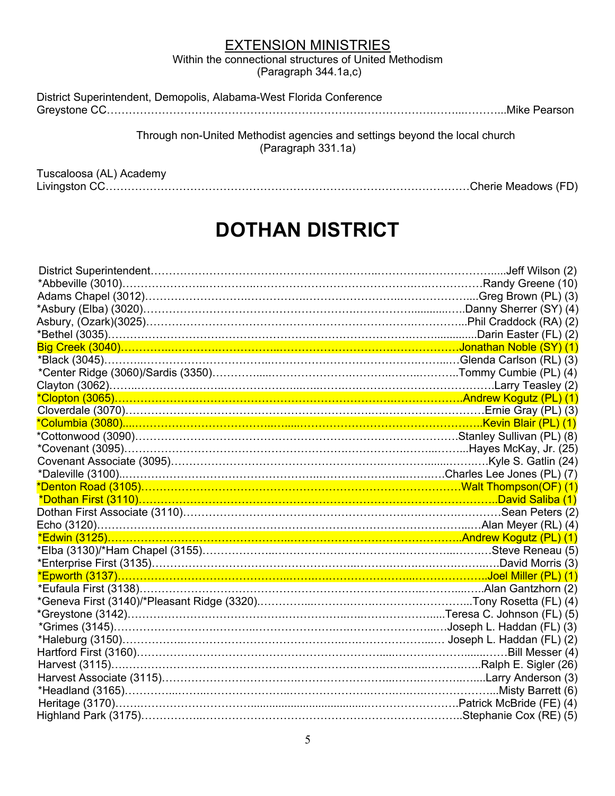Within the connectional structures of United Methodism (Paragraph 344.1a,c)

| District Superintendent, Demopolis, Alabama-West Florida Conference |  |
|---------------------------------------------------------------------|--|
|                                                                     |  |

Through non-United Methodist agencies and settings beyond the local church (Paragraph 331.1a)

Tuscaloosa (AL) Academy

Livingston CC………………………………………………………………………………………Cherie Meadows (FD)

# **DOTHAN DISTRICT**

| *Clopton (3065)…………………………………………………………………………………………Andrew Kogutz (PL) (1)              |  |
|--------------------------------------------------------------------------------------|--|
|                                                                                      |  |
|                                                                                      |  |
|                                                                                      |  |
| *Covenant (3095)……………………………………………………………………………………Hayes McKay, Jr. (25)                |  |
|                                                                                      |  |
|                                                                                      |  |
| <mark>*Denton Road (3105)…………………………………………………………………………………Walt Thompson(OF) (1)</mark> |  |
| <u>*Dothan First (3110)…………………………………………………………………………………………David Saliba (1)</u>        |  |
|                                                                                      |  |
|                                                                                      |  |
|                                                                                      |  |
| *Elba (3130)/*Ham Chapel (3155)…………………………………………………………………………Steve Reneau (5)          |  |
|                                                                                      |  |
|                                                                                      |  |
|                                                                                      |  |
|                                                                                      |  |
|                                                                                      |  |
|                                                                                      |  |
|                                                                                      |  |
|                                                                                      |  |
|                                                                                      |  |
|                                                                                      |  |
|                                                                                      |  |
|                                                                                      |  |
|                                                                                      |  |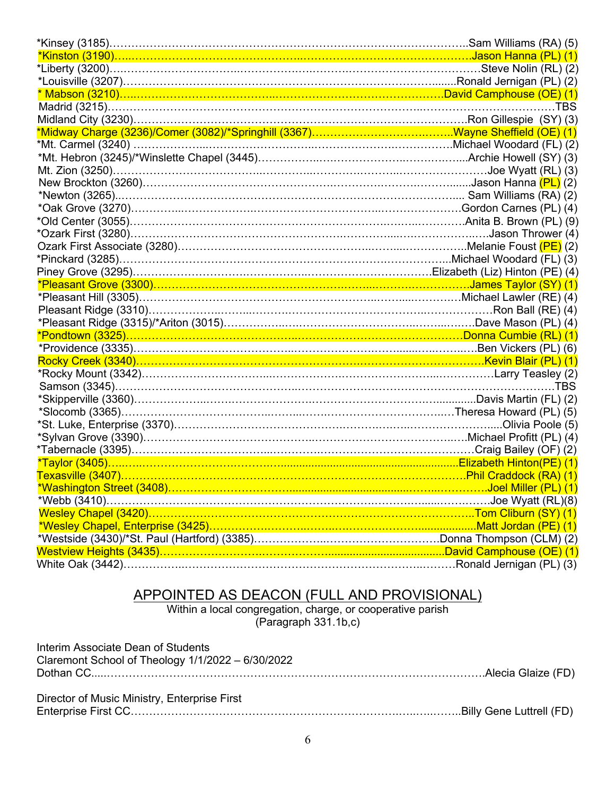|                                                                                         | Sam Williams (RA) (5) |
|-----------------------------------------------------------------------------------------|-----------------------|
| *Kinston (3190)…………………………………………………………………………………………Jason Hanna (PL) (1)                   |                       |
|                                                                                         |                       |
|                                                                                         |                       |
| * Mabson (3210)………………………………………………………………………………David Camphouse (OE) (1)                   |                       |
|                                                                                         |                       |
|                                                                                         |                       |
|                                                                                         |                       |
|                                                                                         |                       |
|                                                                                         |                       |
| Mt. Zion (3250)…………………………………………………………………………………………Joe Wyatt (RL) (3)                     |                       |
|                                                                                         |                       |
|                                                                                         |                       |
|                                                                                         |                       |
|                                                                                         |                       |
|                                                                                         |                       |
|                                                                                         |                       |
|                                                                                         |                       |
|                                                                                         |                       |
|                                                                                         |                       |
|                                                                                         |                       |
|                                                                                         |                       |
|                                                                                         |                       |
| *Pondtown (3325)……………………………………………………………………………………Donna Cumbie (RL) (1)                   |                       |
|                                                                                         |                       |
|                                                                                         |                       |
|                                                                                         |                       |
|                                                                                         |                       |
|                                                                                         |                       |
|                                                                                         |                       |
| 5) *St. Luke, Enterprise (3370)……………………………………………………………………………………Olivia Poole*            |                       |
|                                                                                         |                       |
|                                                                                         |                       |
|                                                                                         |                       |
| <mark>Texasville (3407)……………………………………………………………………………………………Phil Craddock (RA) (1)</mark> |                       |
|                                                                                         |                       |
|                                                                                         |                       |
|                                                                                         |                       |
|                                                                                         |                       |
|                                                                                         |                       |
|                                                                                         |                       |
|                                                                                         |                       |

#### APPOINTED AS DEACON (FULL AND PROVISIONAL)

Within a local congregation, charge, or cooperative parish (Paragraph 331.1b,c)

| Interim Associate Dean of Students<br>Claremont School of Theology 1/1/2022 - 6/30/2022 |  |
|-----------------------------------------------------------------------------------------|--|
|                                                                                         |  |
| Director of Music Ministry, Enterprise First                                            |  |
|                                                                                         |  |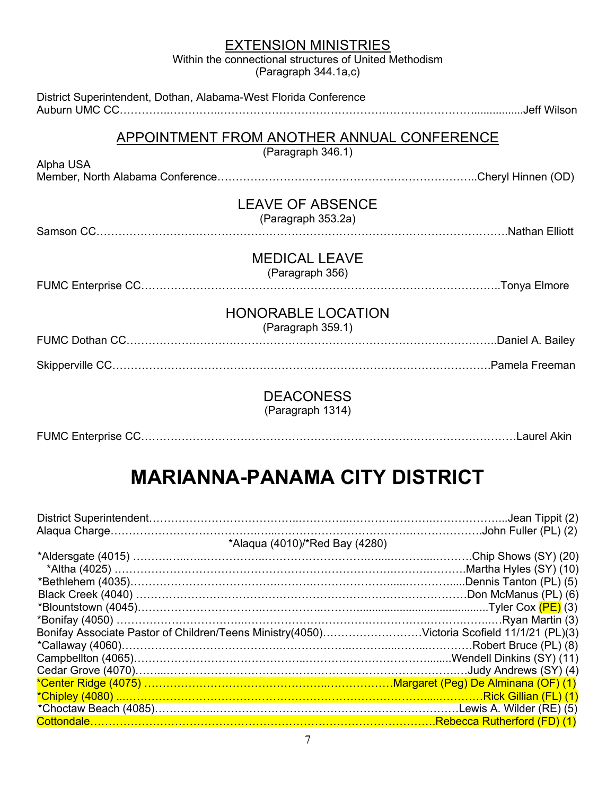Within the connectional structures of United Methodism (Paragraph 344.1a,c)

| District Superintendent, Dothan, Alabama-West Florida Conference |  |
|------------------------------------------------------------------|--|
| APPOINTMENT FROM ANOTHER ANNUAL CONFERENCE<br>(Paragraph 346.1)  |  |
| Alpha USA                                                        |  |
| <b>LEAVE OF ABSENCE</b><br>(Paragraph 353.2a)                    |  |
| <b>MEDICAL LEAVE</b><br>(Paragraph 356)                          |  |
| <b>HONORABLE LOCATION</b><br>(Paragraph 359.1)                   |  |
|                                                                  |  |
|                                                                  |  |
| <b>DEACONESS</b>                                                 |  |

(Paragraph 1314)

|--|--|

# **MARIANNA-PANAMA CITY DISTRICT**

| *Alaqua (4010)/*Red Bay (4280)                                                             |  |
|--------------------------------------------------------------------------------------------|--|
|                                                                                            |  |
|                                                                                            |  |
|                                                                                            |  |
|                                                                                            |  |
|                                                                                            |  |
|                                                                                            |  |
| Bonifay Associate Pastor of Children/Teens Ministry(4050)Victoria Scofield 11/1/21 (PL)(3) |  |
|                                                                                            |  |
|                                                                                            |  |
|                                                                                            |  |
| *Center Ridge (4075) ……………………………………………………………Margaret (Peg) De Alminana (OF) (1)            |  |
|                                                                                            |  |
|                                                                                            |  |
|                                                                                            |  |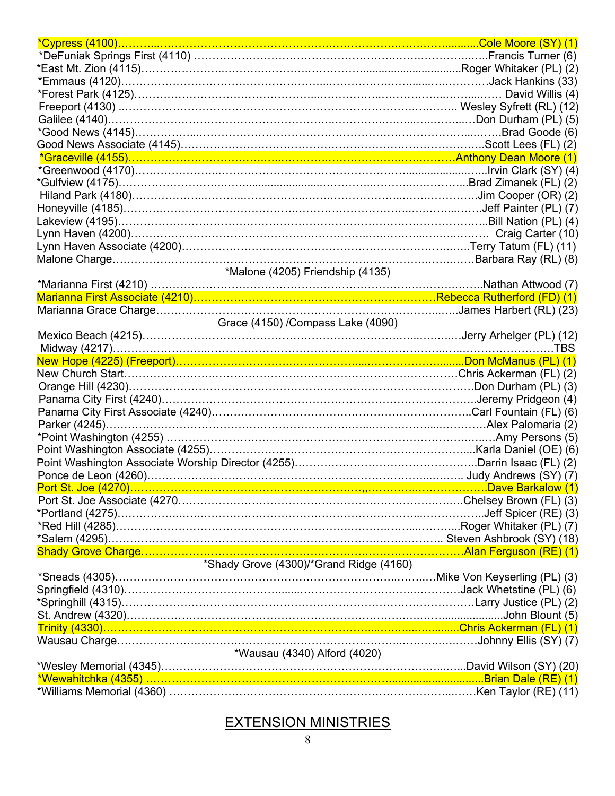| *Emmaus (4120)…………………………………………………………………………………………Jack Hankins (33)                                                                                                   |                 |
|---------------------------------------------------------------------------------------------------------------------------------------------------------------------|-----------------|
|                                                                                                                                                                     |                 |
|                                                                                                                                                                     |                 |
|                                                                                                                                                                     |                 |
| *Good News (4145)……………………………………………………………………………………                                                                                                                   | .Brad Goode (6) |
|                                                                                                                                                                     |                 |
|                                                                                                                                                                     |                 |
|                                                                                                                                                                     |                 |
|                                                                                                                                                                     |                 |
|                                                                                                                                                                     |                 |
|                                                                                                                                                                     |                 |
| Lakeview (4195)……………………………………………………………………………………………Bill Nation (PL) (4)                                                                                              |                 |
|                                                                                                                                                                     |                 |
|                                                                                                                                                                     |                 |
|                                                                                                                                                                     |                 |
| *Malone (4205) Friendship (4135)                                                                                                                                    |                 |
|                                                                                                                                                                     |                 |
|                                                                                                                                                                     |                 |
|                                                                                                                                                                     |                 |
| Grace (4150) /Compass Lake (4090)                                                                                                                                   |                 |
|                                                                                                                                                                     |                 |
|                                                                                                                                                                     |                 |
|                                                                                                                                                                     |                 |
| New Church Start…………………………………………………………………………………Chris Ackerman (FL) (2)                                                                                              |                 |
|                                                                                                                                                                     |                 |
|                                                                                                                                                                     |                 |
|                                                                                                                                                                     |                 |
|                                                                                                                                                                     |                 |
|                                                                                                                                                                     |                 |
|                                                                                                                                                                     |                 |
|                                                                                                                                                                     |                 |
|                                                                                                                                                                     |                 |
|                                                                                                                                                                     |                 |
|                                                                                                                                                                     |                 |
|                                                                                                                                                                     |                 |
|                                                                                                                                                                     |                 |
|                                                                                                                                                                     |                 |
|                                                                                                                                                                     |                 |
| *Shady Grove (4300)/*Grand Ridge (4160)                                                                                                                             |                 |
|                                                                                                                                                                     |                 |
|                                                                                                                                                                     |                 |
|                                                                                                                                                                     |                 |
|                                                                                                                                                                     |                 |
|                                                                                                                                                                     |                 |
|                                                                                                                                                                     |                 |
| *Wausau (4340) Alford (4020)                                                                                                                                        |                 |
|                                                                                                                                                                     |                 |
| *Wesley Memorial (4345)……………………………………………………………………………David Wilson (SY) (20)<br><mark>*Wewahitchka (4355) ………………………………………………………………………………………Brian Dale (RE) (1)</mark> |                 |
|                                                                                                                                                                     |                 |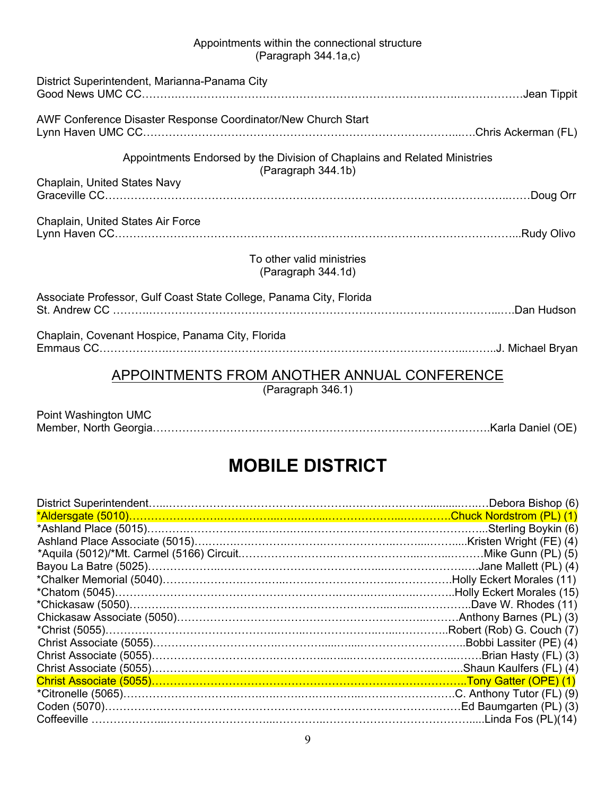#### Appointments within the connectional structure (Paragraph 344.1a,c)

| District Superintendent, Marianna-Panama City                                                   |  |
|-------------------------------------------------------------------------------------------------|--|
| AWF Conference Disaster Response Coordinator/New Church Start                                   |  |
| Appointments Endorsed by the Division of Chaplains and Related Ministries<br>(Paragraph 344.1b) |  |
| Chaplain, United States Navy                                                                    |  |
| Chaplain, United States Air Force                                                               |  |
| To other valid ministries<br>(Paragraph 344.1d)                                                 |  |
| Associate Professor, Gulf Coast State College, Panama City, Florida                             |  |
| Chaplain, Covenant Hospice, Panama City, Florida                                                |  |
| APPOINTMENTS FROM ANOTHER ANNUAL CONFERENCE<br>(Paragraph 346.1)                                |  |

| Point Washington UMC |  |
|----------------------|--|
|                      |  |

# **MOBILE DISTRICT**

|                                                                           | Debora Bishop (6)        |
|---------------------------------------------------------------------------|--------------------------|
| *Aldersgate (5010)…………………………………………………………………………………Chuck Nordstrom (PL) (1) |                          |
|                                                                           |                          |
|                                                                           |                          |
|                                                                           |                          |
|                                                                           |                          |
|                                                                           |                          |
|                                                                           |                          |
|                                                                           |                          |
|                                                                           |                          |
|                                                                           |                          |
|                                                                           | .Bobbi Lassiter (PE) (4) |
|                                                                           |                          |
|                                                                           |                          |
|                                                                           |                          |
|                                                                           |                          |
|                                                                           |                          |
|                                                                           |                          |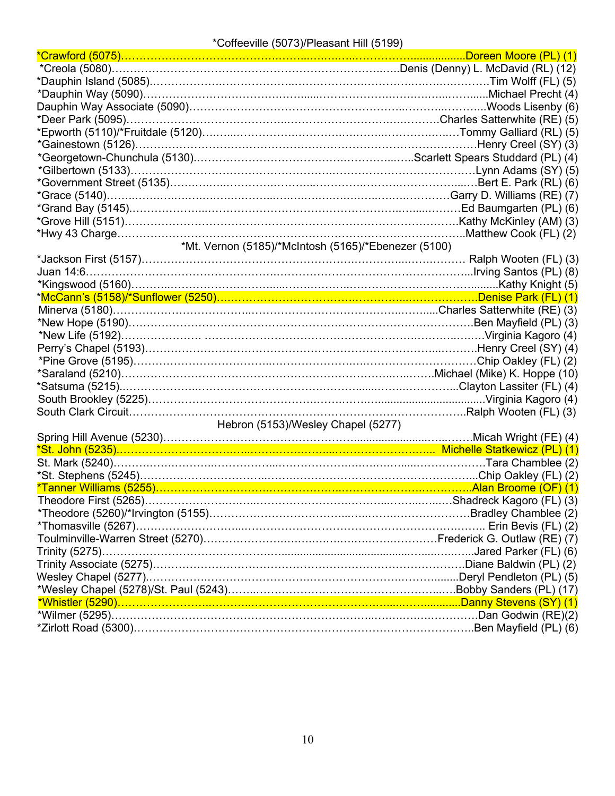#### \*Coffeeville (5073)/Pleasant Hill (5199)

| <mark>*Crawford (5075)…………………………………………………………………………………………Doreen Moore (PL) (1)</mark> |  |
|--------------------------------------------------------------------------------------|--|
|                                                                                      |  |
|                                                                                      |  |
|                                                                                      |  |
|                                                                                      |  |
|                                                                                      |  |
|                                                                                      |  |
|                                                                                      |  |
|                                                                                      |  |
|                                                                                      |  |
|                                                                                      |  |
|                                                                                      |  |
|                                                                                      |  |
|                                                                                      |  |
|                                                                                      |  |
| *Mt. Vernon (5185)/*McIntosh (5165)/*Ebenezer (5100)                                 |  |
|                                                                                      |  |
|                                                                                      |  |
|                                                                                      |  |
| *McCann's (5158)/*Sunflower (5250)………………………………………………………………Denise Park (FL) (1)       |  |
|                                                                                      |  |
|                                                                                      |  |
|                                                                                      |  |
|                                                                                      |  |
|                                                                                      |  |
|                                                                                      |  |
|                                                                                      |  |
|                                                                                      |  |
|                                                                                      |  |
| Hebron (5153)/Wesley Chapel (5277)                                                   |  |
|                                                                                      |  |
|                                                                                      |  |
|                                                                                      |  |
|                                                                                      |  |
| *Tanner Williams (5255)…………………………………………………………………………………Alan Broome (OF) (1)           |  |
|                                                                                      |  |
|                                                                                      |  |
|                                                                                      |  |
|                                                                                      |  |
|                                                                                      |  |
|                                                                                      |  |
|                                                                                      |  |
|                                                                                      |  |
|                                                                                      |  |
|                                                                                      |  |
|                                                                                      |  |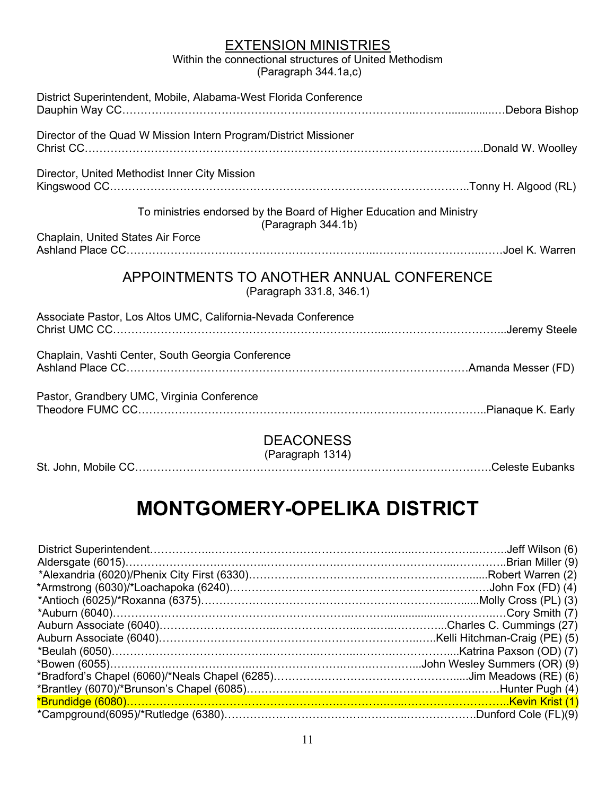Within the connectional structures of United Methodism (Paragraph 344.1a,c)

| District Superintendent, Mobile, Alabama-West Florida Conference                           |  |  |
|--------------------------------------------------------------------------------------------|--|--|
| Director of the Quad W Mission Intern Program/District Missioner                           |  |  |
| Director, United Methodist Inner City Mission                                              |  |  |
| To ministries endorsed by the Board of Higher Education and Ministry<br>(Paragraph 344.1b) |  |  |
| Chaplain, United States Air Force                                                          |  |  |
| APPOINTMENTS TO ANOTHER ANNUAL CONFERENCE<br>(Paragraph 331.8, 346.1)                      |  |  |
| Associate Pastor, Los Altos UMC, California-Nevada Conference                              |  |  |
| Chaplain, Vashti Center, South Georgia Conference                                          |  |  |
| Pastor, Grandbery UMC, Virginia Conference                                                 |  |  |
| <b>DEACONESS</b>                                                                           |  |  |

(Paragraph 1314)

St. John, Mobile CC…………………………………………………………………………………….Celeste Eubanks

# **MONTGOMERY-OPELIKA DISTRICT**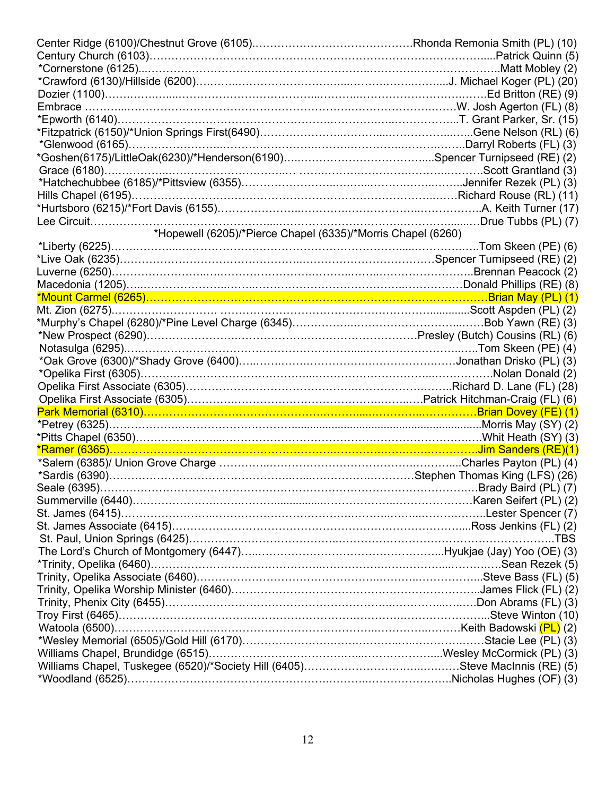| *Epworth (6140)……………………………………………………………………………………………T. Grant Parker, Sr. (15)<br>*Hopewell (6205)/*Pierce Chapel (6335)/*Morris Chapel (6260)<br>*Pitts Chapel (6350)………………………………………………………………………………………Whit Heath (SY) (3) |  |  |
|-------------------------------------------------------------------------------------------------------------------------------------------------------------------------------------------------------------------------|--|--|
|                                                                                                                                                                                                                         |  |  |
|                                                                                                                                                                                                                         |  |  |
|                                                                                                                                                                                                                         |  |  |
|                                                                                                                                                                                                                         |  |  |
|                                                                                                                                                                                                                         |  |  |
|                                                                                                                                                                                                                         |  |  |
|                                                                                                                                                                                                                         |  |  |
|                                                                                                                                                                                                                         |  |  |
|                                                                                                                                                                                                                         |  |  |
|                                                                                                                                                                                                                         |  |  |
|                                                                                                                                                                                                                         |  |  |
|                                                                                                                                                                                                                         |  |  |
|                                                                                                                                                                                                                         |  |  |
|                                                                                                                                                                                                                         |  |  |
|                                                                                                                                                                                                                         |  |  |
|                                                                                                                                                                                                                         |  |  |
|                                                                                                                                                                                                                         |  |  |
|                                                                                                                                                                                                                         |  |  |
|                                                                                                                                                                                                                         |  |  |
|                                                                                                                                                                                                                         |  |  |
|                                                                                                                                                                                                                         |  |  |
|                                                                                                                                                                                                                         |  |  |
|                                                                                                                                                                                                                         |  |  |
|                                                                                                                                                                                                                         |  |  |
|                                                                                                                                                                                                                         |  |  |
|                                                                                                                                                                                                                         |  |  |
|                                                                                                                                                                                                                         |  |  |
|                                                                                                                                                                                                                         |  |  |
|                                                                                                                                                                                                                         |  |  |
|                                                                                                                                                                                                                         |  |  |
|                                                                                                                                                                                                                         |  |  |
|                                                                                                                                                                                                                         |  |  |
|                                                                                                                                                                                                                         |  |  |
|                                                                                                                                                                                                                         |  |  |
|                                                                                                                                                                                                                         |  |  |
|                                                                                                                                                                                                                         |  |  |
|                                                                                                                                                                                                                         |  |  |
|                                                                                                                                                                                                                         |  |  |
|                                                                                                                                                                                                                         |  |  |
|                                                                                                                                                                                                                         |  |  |
|                                                                                                                                                                                                                         |  |  |
|                                                                                                                                                                                                                         |  |  |
|                                                                                                                                                                                                                         |  |  |
|                                                                                                                                                                                                                         |  |  |
|                                                                                                                                                                                                                         |  |  |
|                                                                                                                                                                                                                         |  |  |
|                                                                                                                                                                                                                         |  |  |
|                                                                                                                                                                                                                         |  |  |
|                                                                                                                                                                                                                         |  |  |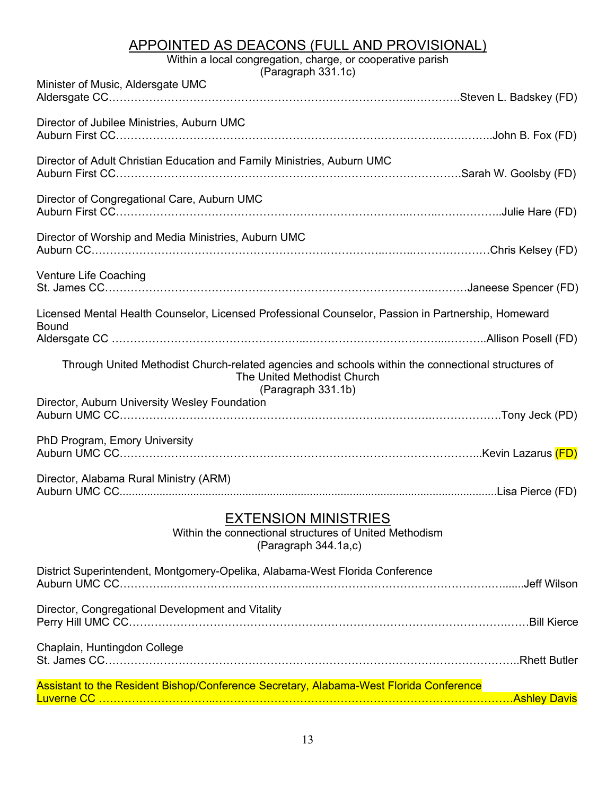## APPOINTED AS DEACONS (FULL AND PROVISIONAL)

Within a local congregation, charge, or cooperative parish

| (Paragraph 331.1c)                                                                                                                                      |
|---------------------------------------------------------------------------------------------------------------------------------------------------------|
| Minister of Music, Aldersgate UMC                                                                                                                       |
| Director of Jubilee Ministries, Auburn UMC                                                                                                              |
| Director of Adult Christian Education and Family Ministries, Auburn UMC                                                                                 |
| Director of Congregational Care, Auburn UMC                                                                                                             |
| Director of Worship and Media Ministries, Auburn UMC                                                                                                    |
| Venture Life Coaching                                                                                                                                   |
| Licensed Mental Health Counselor, Licensed Professional Counselor, Passion in Partnership, Homeward                                                     |
| <b>Bound</b>                                                                                                                                            |
| Through United Methodist Church-related agencies and schools within the connectional structures of<br>The United Methodist Church<br>(Paragraph 331.1b) |
|                                                                                                                                                         |
| Director, Auburn University Wesley Foundation                                                                                                           |
| PhD Program, Emory University                                                                                                                           |
| Director, Alabama Rural Ministry (ARM)                                                                                                                  |
| <b>EXTENSION MINISTRIES</b><br>Within the connectional structures of United Methodism<br>(Paragraph 344.1a,c)                                           |
| District Superintendent, Montgomery-Opelika, Alabama-West Florida Conference                                                                            |
| Director, Congregational Development and Vitality                                                                                                       |
| Chaplain, Huntingdon College                                                                                                                            |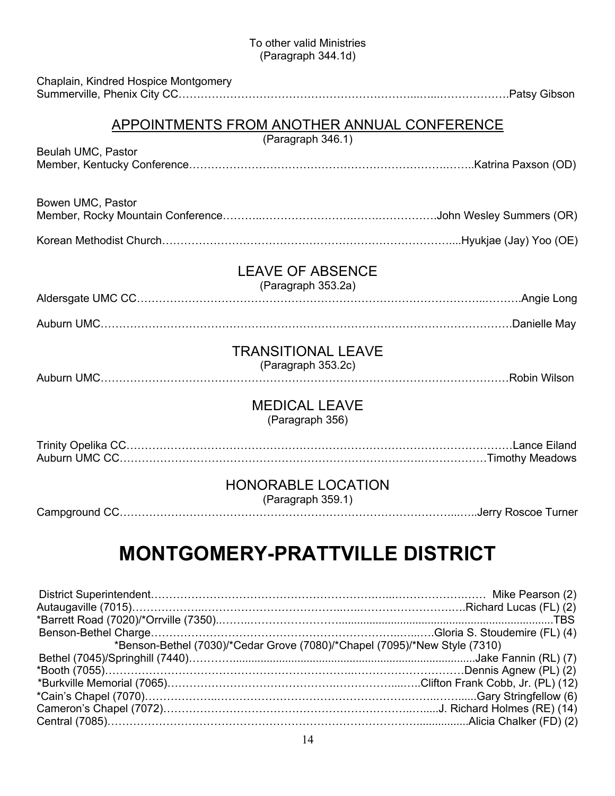#### To other valid Ministries (Paragraph 344.1d)

| Chaplain, Kindred Hospice Montgomery |                                                                  |  |
|--------------------------------------|------------------------------------------------------------------|--|
|                                      | APPOINTMENTS FROM ANOTHER ANNUAL CONFERENCE<br>(Paragraph 346.1) |  |
| Beulah UMC, Pastor                   |                                                                  |  |
| Bowen UMC, Pastor                    |                                                                  |  |
|                                      |                                                                  |  |
|                                      | <b>LEAVE OF ABSENCE</b><br>(Paragraph 353.2a)                    |  |
|                                      |                                                                  |  |
|                                      |                                                                  |  |
|                                      | <b>TRANSITIONAL LEAVE</b><br>(Paragraph 353.2c)                  |  |
|                                      | <b>MEDICAL LEAVE</b><br>(Paragraph 356)                          |  |
|                                      |                                                                  |  |
|                                      | <b>HONORABLE LOCATION</b><br>(Paragraph 359.1)                   |  |
|                                      | LITAALIFDV DD LTTVII I F DIATDIAT                                |  |

# **MONTGOMERY-PRATTVILLE DISTRICT**

| *Benson-Bethel (7030)/*Cedar Grove (7080)/*Chapel (7095)/*New Style (7310) |  |
|----------------------------------------------------------------------------|--|
|                                                                            |  |
|                                                                            |  |
|                                                                            |  |
|                                                                            |  |
|                                                                            |  |
|                                                                            |  |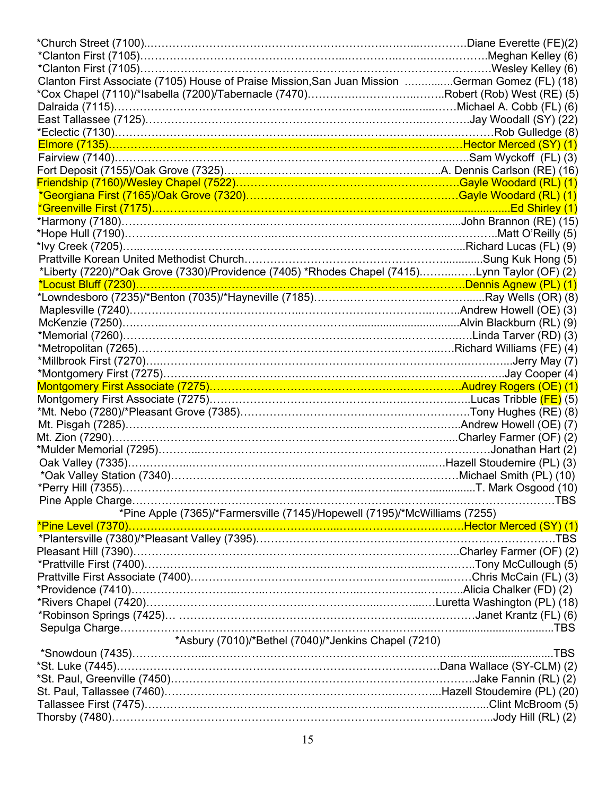| Clanton First Associate (7105) House of Praise Mission, San Juan Mission German Gomez (FL) (18)                                                                      |  |
|----------------------------------------------------------------------------------------------------------------------------------------------------------------------|--|
|                                                                                                                                                                      |  |
|                                                                                                                                                                      |  |
|                                                                                                                                                                      |  |
|                                                                                                                                                                      |  |
|                                                                                                                                                                      |  |
| Fairview (7140)………………………………………………………………………………………Sam Wyckoff (FL) (3)                                                                                                 |  |
|                                                                                                                                                                      |  |
|                                                                                                                                                                      |  |
| *Georgiana First (7165)/Oak Grove (7320)……………………………………………………Gayle Woodard (RL) (1)                                                                                   |  |
|                                                                                                                                                                      |  |
|                                                                                                                                                                      |  |
|                                                                                                                                                                      |  |
| *lvy Creek (7205)………………………………………………………………………………………Richard Lucas (FL) (9)                                                                                             |  |
|                                                                                                                                                                      |  |
| *Liberty (7220)/*Oak Grove (7330)/Providence (7405) *Rhodes Chapel (7415)Lynn Taylor (OF) (2)                                                                        |  |
| <u>*Locust Bluff (7230)…………………………………………………………………………………Dennis Agnew (PL) (1)</u>                                                                                      |  |
|                                                                                                                                                                      |  |
|                                                                                                                                                                      |  |
|                                                                                                                                                                      |  |
|                                                                                                                                                                      |  |
| *Metropolitan (7265)………………………………………………………………………………Richard Williams (FE) (4)                                                                                          |  |
|                                                                                                                                                                      |  |
| *Millbrook First (7270)…………………………………………………………………………………………Jerry May (7)                                                                                               |  |
| *Montgomery First (7275)……………………………………………………………………………………Jay Cooper (4)                                                                                               |  |
|                                                                                                                                                                      |  |
|                                                                                                                                                                      |  |
|                                                                                                                                                                      |  |
|                                                                                                                                                                      |  |
|                                                                                                                                                                      |  |
|                                                                                                                                                                      |  |
|                                                                                                                                                                      |  |
|                                                                                                                                                                      |  |
|                                                                                                                                                                      |  |
|                                                                                                                                                                      |  |
|                                                                                                                                                                      |  |
|                                                                                                                                                                      |  |
| *Pine Apple (7365)/*Farmersville (7145)/Hopewell (7195)/*McWilliams (7255)                                                                                           |  |
|                                                                                                                                                                      |  |
| <mark>*Pine Level (7370)…………………………………………………………………………………Hector Merced (SY) (1)</mark><br>*Plantersville (7380)/*Pleasant Valley (7395)…………………………………………………………………………TBS |  |
|                                                                                                                                                                      |  |
|                                                                                                                                                                      |  |
|                                                                                                                                                                      |  |
|                                                                                                                                                                      |  |
|                                                                                                                                                                      |  |
|                                                                                                                                                                      |  |
|                                                                                                                                                                      |  |
| *Asbury (7010)/*Bethel (7040)/*Jenkins Chapel (7210)                                                                                                                 |  |
|                                                                                                                                                                      |  |
|                                                                                                                                                                      |  |
|                                                                                                                                                                      |  |
|                                                                                                                                                                      |  |
|                                                                                                                                                                      |  |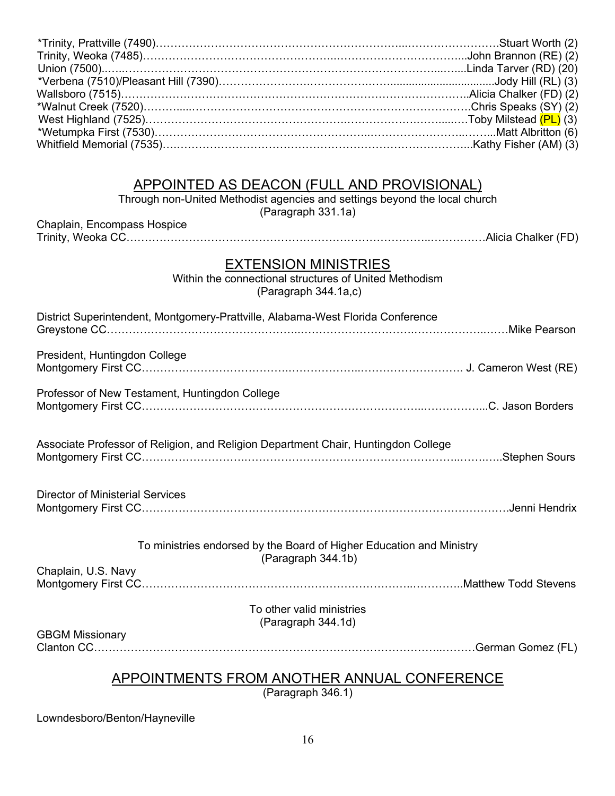### APPOINTED AS DEACON (FULL AND PROVISIONAL)

Through non-United Methodist agencies and settings beyond the local church

(Paragraph 331.1a)

| Chaplain, Encompass Hospice |  |
|-----------------------------|--|
|                             |  |

#### EXTENSION MINISTRIES

Within the connectional structures of United Methodism (Paragraph 344.1a,c)

| District Superintendent, Montgomery-Prattville, Alabama-West Florida Conference            |
|--------------------------------------------------------------------------------------------|
| President, Huntingdon College                                                              |
| Professor of New Testament, Huntingdon College                                             |
| Associate Professor of Religion, and Religion Department Chair, Huntingdon College         |
| <b>Director of Ministerial Services</b>                                                    |
| To ministries endorsed by the Board of Higher Education and Ministry<br>(Paragraph 344.1b) |
| Chaplain, U.S. Navy                                                                        |
| To other valid ministries<br>(Paragraph 344.1d)                                            |
| <b>GBGM Missionary</b>                                                                     |
| APPOINTMENTS FROM ANOTHER ANNUAL CONFERENCE<br>(Dararan b 246 4)                           |

(Paragraph 346.1)

Lowndesboro/Benton/Hayneville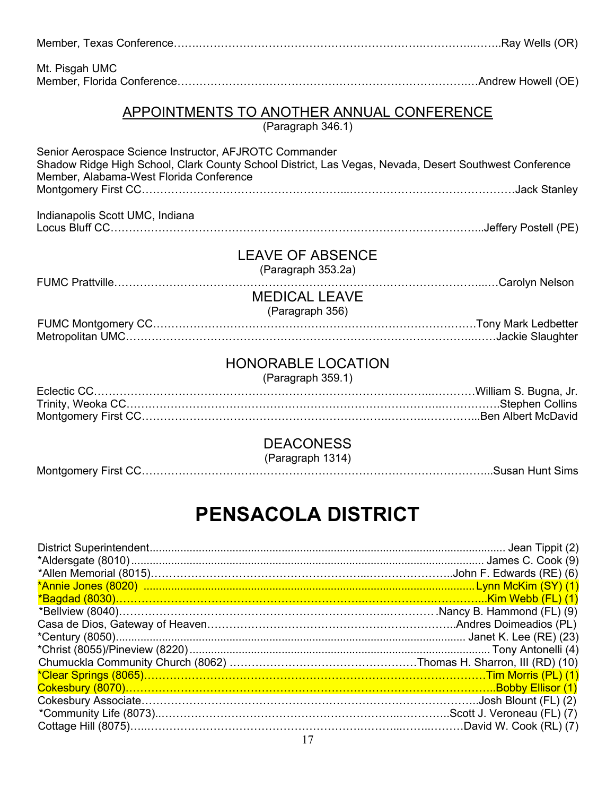| Mt. Pisgah UMC                                                                                                                                                                                              |  |
|-------------------------------------------------------------------------------------------------------------------------------------------------------------------------------------------------------------|--|
| <b>APPOINTMENTS TO ANOTHER ANNUAL CONFERENCE</b><br>(Paragraph 346.1)                                                                                                                                       |  |
| Senior Aerospace Science Instructor, AFJROTC Commander<br>Shadow Ridge High School, Clark County School District, Las Vegas, Nevada, Desert Southwest Conference<br>Member, Alabama-West Florida Conference |  |
|                                                                                                                                                                                                             |  |
| Indianapolis Scott UMC, Indiana                                                                                                                                                                             |  |
| <b>LEAVE OF ABSENCE</b><br>(Paragraph 353.2a)                                                                                                                                                               |  |
| <b>MEDICAL LEAVE</b><br>(Paragraph 356)                                                                                                                                                                     |  |
|                                                                                                                                                                                                             |  |
| <b>HONORABLE LOCATION</b><br>(Paragraph 359.1)                                                                                                                                                              |  |
|                                                                                                                                                                                                             |  |
| <b>DEACONESS</b><br>(Paragraph 1314)                                                                                                                                                                        |  |

# **PENSACOLA DISTRICT**

Montgomery First CC…………………………………………………………………………………...Susan Hunt Sims

| *Clear Springs (8065)………………………………………………………………………………………Tim Morris (PL) (1) |  |
|---------------------------------------------------------------------------|--|
|                                                                           |  |
|                                                                           |  |
|                                                                           |  |
|                                                                           |  |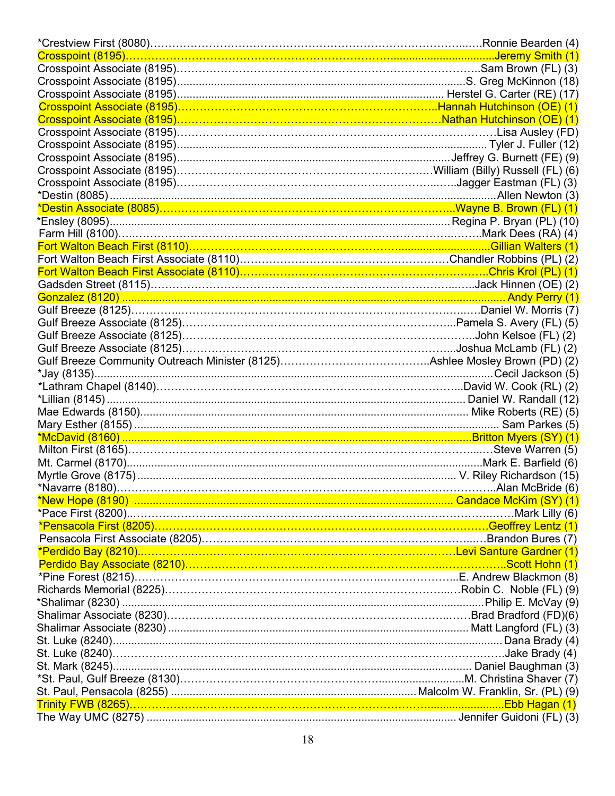| *Pensacola First (8205)…………………………………………………………………………………Geoffrey Lentz (1) |  |
|--------------------------------------------------------------------------|--|
|                                                                          |  |
|                                                                          |  |
|                                                                          |  |
|                                                                          |  |
|                                                                          |  |
|                                                                          |  |
|                                                                          |  |
|                                                                          |  |
|                                                                          |  |
|                                                                          |  |
|                                                                          |  |
|                                                                          |  |
|                                                                          |  |
|                                                                          |  |
|                                                                          |  |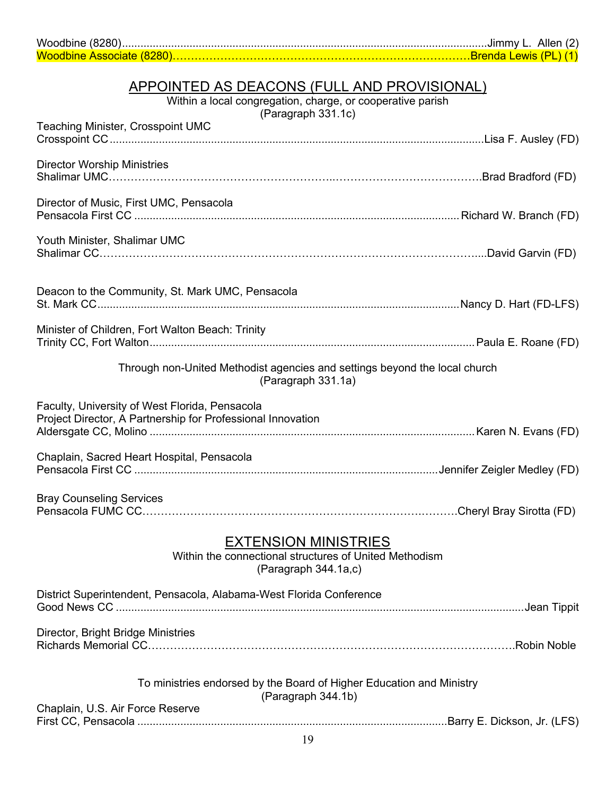|                           | JImmy L. Allen (2)            |  |
|---------------------------|-------------------------------|--|
| Woodbine Associate (8280) | <u> Brenda Lewis (PL) (1)</u> |  |

#### APPOINTED AS DEACONS (FULL AND PROVISIONAL)

Within a local congregation, charge, or cooperative parish

(Paragraph 331.1c)

| Teaching Minister, Crosspoint UMC                                                                             |
|---------------------------------------------------------------------------------------------------------------|
| <b>Director Worship Ministries</b>                                                                            |
| Director of Music, First UMC, Pensacola                                                                       |
| Youth Minister, Shalimar UMC                                                                                  |
| Deacon to the Community, St. Mark UMC, Pensacola                                                              |
| Minister of Children, Fort Walton Beach: Trinity                                                              |
| Through non-United Methodist agencies and settings beyond the local church<br>(Paragraph 331.1a)              |
| Faculty, University of West Florida, Pensacola<br>Project Director, A Partnership for Professional Innovation |
| Chaplain, Sacred Heart Hospital, Pensacola                                                                    |
| <b>Bray Counseling Services</b>                                                                               |
| <b>EXTENSION MINISTRIES</b><br>Within the connectional structures of United Methodism<br>(Paragraph 344.1a,c) |
| District Superintendent, Pensacola, Alabama-West Florida Conference                                           |
| Director, Bright Bridge Ministries                                                                            |
| To ministries endorsed by the Board of Higher Education and Ministry<br>(Paragraph 344.1b)                    |
| Chaplain, U.S. Air Force Reserve<br>19                                                                        |